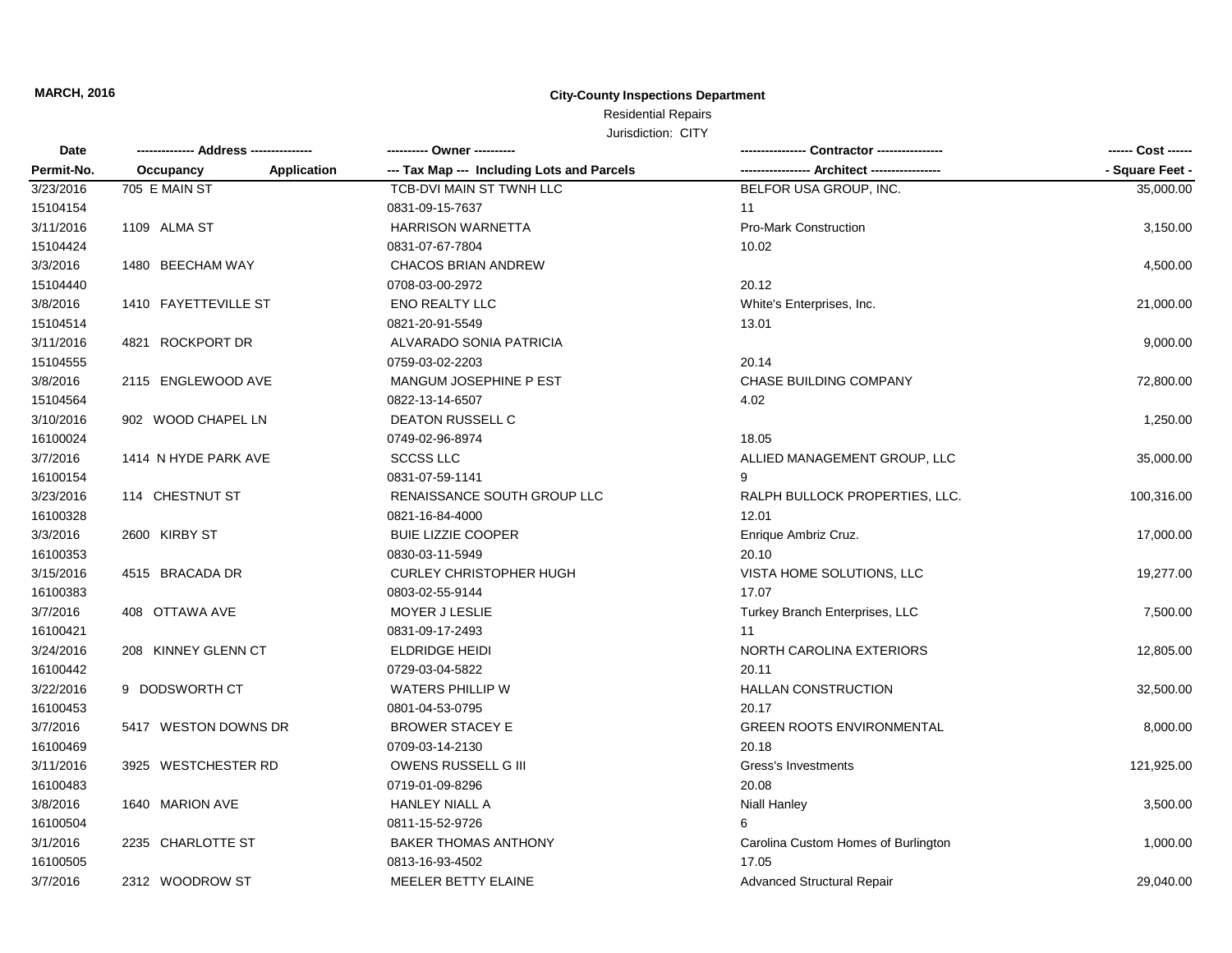| JUISQICTION: UIT |  |
|------------------|--|
|                  |  |

| <b>Date</b><br>Permit-No. |                                 | ---------- Owner ----------                |                                     | ------ Cost ------ |
|---------------------------|---------------------------------|--------------------------------------------|-------------------------------------|--------------------|
|                           | Occupancy<br><b>Application</b> | --- Tax Map --- Including Lots and Parcels | - Architect ------                  | - Square Feet -    |
| 3/23/2016                 | 705 E MAIN ST                   | TCB-DVI MAIN ST TWNH LLC                   | BELFOR USA GROUP, INC.              | 35,000.00          |
| 15104154                  |                                 | 0831-09-15-7637                            | 11                                  |                    |
| 3/11/2016                 | 1109 ALMA ST                    | <b>HARRISON WARNETTA</b>                   | <b>Pro-Mark Construction</b>        | 3,150.00           |
| 15104424                  |                                 | 0831-07-67-7804                            | 10.02                               |                    |
| 3/3/2016                  | 1480 BEECHAM WAY                | <b>CHACOS BRIAN ANDREW</b>                 |                                     | 4,500.00           |
| 15104440                  |                                 | 0708-03-00-2972                            | 20.12                               |                    |
| 3/8/2016                  | 1410 FAYETTEVILLE ST            | <b>ENO REALTY LLC</b>                      | White's Enterprises, Inc.           | 21,000.00          |
| 15104514                  |                                 | 0821-20-91-5549                            | 13.01                               |                    |
| 3/11/2016                 | 4821 ROCKPORT DR                | ALVARADO SONIA PATRICIA                    |                                     | 9,000.00           |
| 15104555                  |                                 | 0759-03-02-2203                            | 20.14                               |                    |
| 3/8/2016                  | 2115 ENGLEWOOD AVE              | MANGUM JOSEPHINE P EST                     | CHASE BUILDING COMPANY              | 72,800.00          |
| 15104564                  |                                 | 0822-13-14-6507                            | 4.02                                |                    |
| 3/10/2016                 | 902 WOOD CHAPEL LN              | <b>DEATON RUSSELL C</b>                    |                                     | 1,250.00           |
| 16100024                  |                                 | 0749-02-96-8974                            | 18.05                               |                    |
| 3/7/2016                  | 1414 N HYDE PARK AVE            | <b>SCCSS LLC</b>                           | ALLIED MANAGEMENT GROUP, LLC        | 35,000.00          |
| 16100154                  |                                 | 0831-07-59-1141                            |                                     |                    |
| 3/23/2016                 | 114 CHESTNUT ST                 | RENAISSANCE SOUTH GROUP LLC                | RALPH BULLOCK PROPERTIES, LLC.      | 100,316.00         |
| 16100328                  |                                 | 0821-16-84-4000                            | 12.01                               |                    |
| 3/3/2016                  | 2600 KIRBY ST                   | <b>BUIE LIZZIE COOPER</b>                  | Enrique Ambriz Cruz.                | 17,000.00          |
| 16100353                  |                                 | 0830-03-11-5949                            | 20.10                               |                    |
| 3/15/2016                 | 4515 BRACADA DR                 | <b>CURLEY CHRISTOPHER HUGH</b>             | VISTA HOME SOLUTIONS, LLC           | 19,277.00          |
| 16100383                  |                                 | 0803-02-55-9144                            | 17.07                               |                    |
| 3/7/2016                  | 408 OTTAWA AVE                  | MOYER J LESLIE                             | Turkey Branch Enterprises, LLC      | 7,500.00           |
| 16100421                  |                                 | 0831-09-17-2493                            | 11                                  |                    |
| 3/24/2016                 | 208 KINNEY GLENN CT             | <b>ELDRIDGE HEIDI</b>                      | NORTH CAROLINA EXTERIORS            | 12,805.00          |
| 16100442                  |                                 | 0729-03-04-5822                            | 20.11                               |                    |
| 3/22/2016                 | 9 DODSWORTH CT                  | <b>WATERS PHILLIP W</b>                    | <b>HALLAN CONSTRUCTION</b>          | 32,500.00          |
| 16100453                  |                                 | 0801-04-53-0795                            | 20.17                               |                    |
| 3/7/2016                  | 5417 WESTON DOWNS DR            | <b>BROWER STACEY E</b>                     | <b>GREEN ROOTS ENVIRONMENTAL</b>    | 8,000.00           |
| 16100469                  |                                 | 0709-03-14-2130                            | 20.18                               |                    |
| 3/11/2016                 | 3925 WESTCHESTER RD             | <b>OWENS RUSSELL G III</b>                 | Gress's Investments                 | 121,925.00         |
| 16100483                  |                                 | 0719-01-09-8296                            | 20.08                               |                    |
| 3/8/2016                  | 1640 MARION AVE                 | <b>HANLEY NIALL A</b>                      | <b>Niall Hanley</b>                 | 3,500.00           |
| 16100504                  |                                 | 0811-15-52-9726                            | 6                                   |                    |
| 3/1/2016                  | 2235 CHARLOTTE ST               | <b>BAKER THOMAS ANTHONY</b>                | Carolina Custom Homes of Burlington | 1,000.00           |
| 16100505                  |                                 | 0813-16-93-4502                            | 17.05                               |                    |
| 3/7/2016                  | 2312 WOODROW ST                 | MEELER BETTY ELAINE                        | Advanced Structural Repair          | 29.040.00          |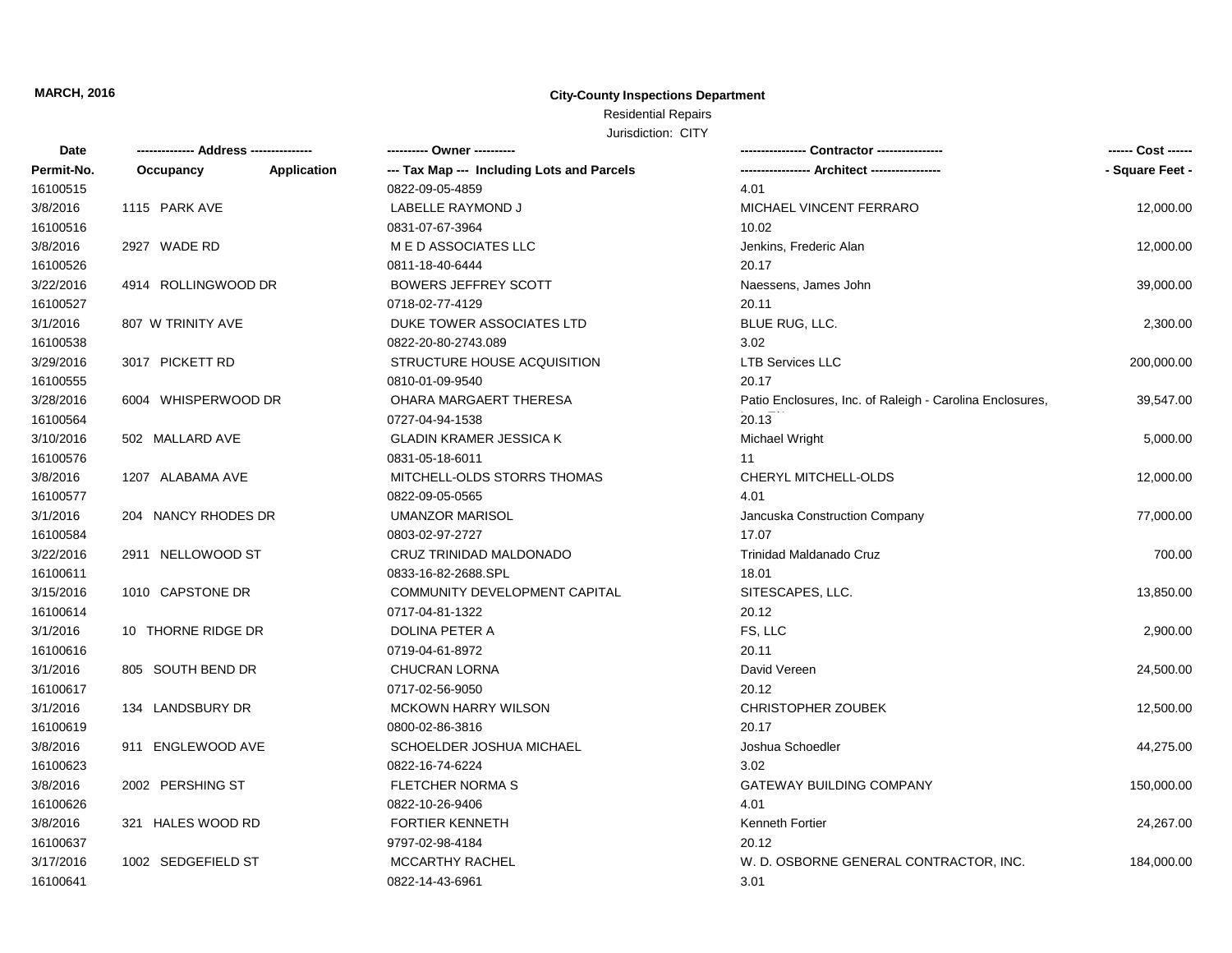| Date       |                     |             | --------- Owner ----------                 |                                                          | ------ Cost ------ |
|------------|---------------------|-------------|--------------------------------------------|----------------------------------------------------------|--------------------|
| Permit-No. | Occupancy           | Application | --- Tax Map --- Including Lots and Parcels |                                                          | - Square Feet -    |
| 16100515   |                     |             | 0822-09-05-4859                            | 4.01                                                     |                    |
| 3/8/2016   | 1115 PARK AVE       |             | LABELLE RAYMOND J                          | MICHAEL VINCENT FERRARO                                  | 12,000.00          |
| 16100516   |                     |             | 0831-07-67-3964                            | 10.02                                                    |                    |
| 3/8/2016   | 2927 WADE RD        |             | M E D ASSOCIATES LLC                       | Jenkins, Frederic Alan                                   | 12,000.00          |
| 16100526   |                     |             | 0811-18-40-6444                            | 20.17                                                    |                    |
| 3/22/2016  | 4914 ROLLINGWOOD DR |             | <b>BOWERS JEFFREY SCOTT</b>                | Naessens, James John                                     | 39,000.00          |
| 16100527   |                     |             | 0718-02-77-4129                            | 20.11                                                    |                    |
| 3/1/2016   | 807 W TRINITY AVE   |             | DUKE TOWER ASSOCIATES LTD                  | BLUE RUG, LLC.                                           | 2,300.00           |
| 16100538   |                     |             | 0822-20-80-2743.089                        | 3.02                                                     |                    |
| 3/29/2016  | 3017 PICKETT RD     |             | STRUCTURE HOUSE ACQUISITION                | <b>LTB Services LLC</b>                                  | 200,000.00         |
| 16100555   |                     |             | 0810-01-09-9540                            | 20.17                                                    |                    |
| 3/28/2016  | 6004 WHISPERWOOD DR |             | OHARA MARGAERT THERESA                     | Patio Enclosures, Inc. of Raleigh - Carolina Enclosures, | 39,547.00          |
| 16100564   |                     |             | 0727-04-94-1538                            | 20.13                                                    |                    |
| 3/10/2016  | 502 MALLARD AVE     |             | <b>GLADIN KRAMER JESSICA K</b>             | <b>Michael Wright</b>                                    | 5,000.00           |
| 16100576   |                     |             | 0831-05-18-6011                            | 11                                                       |                    |
| 3/8/2016   | 1207 ALABAMA AVE    |             | MITCHELL-OLDS STORRS THOMAS                | CHERYL MITCHELL-OLDS                                     | 12,000.00          |
| 16100577   |                     |             | 0822-09-05-0565                            | 4.01                                                     |                    |
| 3/1/2016   | 204 NANCY RHODES DR |             | <b>UMANZOR MARISOL</b>                     | Jancuska Construction Company                            | 77,000.00          |
| 16100584   |                     |             | 0803-02-97-2727                            | 17.07                                                    |                    |
| 3/22/2016  | 2911 NELLOWOOD ST   |             | CRUZ TRINIDAD MALDONADO                    | <b>Trinidad Maldanado Cruz</b>                           | 700.00             |
| 16100611   |                     |             | 0833-16-82-2688.SPL                        | 18.01                                                    |                    |
| 3/15/2016  | 1010 CAPSTONE DR    |             | COMMUNITY DEVELOPMENT CAPITAL              | SITESCAPES, LLC.                                         | 13,850.00          |
| 16100614   |                     |             | 0717-04-81-1322                            | 20.12                                                    |                    |
| 3/1/2016   | 10 THORNE RIDGE DR  |             | DOLINA PETER A                             | FS, LLC                                                  | 2,900.00           |
| 16100616   |                     |             | 0719-04-61-8972                            | 20.11                                                    |                    |
| 3/1/2016   | 805 SOUTH BEND DR   |             | <b>CHUCRAN LORNA</b>                       | David Vereen                                             | 24,500.00          |
| 16100617   |                     |             | 0717-02-56-9050                            | 20.12                                                    |                    |
| 3/1/2016   | 134 LANDSBURY DR    |             | <b>MCKOWN HARRY WILSON</b>                 | <b>CHRISTOPHER ZOUBEK</b>                                | 12,500.00          |
| 16100619   |                     |             | 0800-02-86-3816                            | 20.17                                                    |                    |
| 3/8/2016   | 911 ENGLEWOOD AVE   |             | SCHOELDER JOSHUA MICHAEL                   | Joshua Schoedler                                         | 44,275.00          |
| 16100623   |                     |             | 0822-16-74-6224                            | 3.02                                                     |                    |
| 3/8/2016   | 2002 PERSHING ST    |             | <b>FLETCHER NORMA S</b>                    | <b>GATEWAY BUILDING COMPANY</b>                          | 150,000.00         |
| 16100626   |                     |             | 0822-10-26-9406                            | 4.01                                                     |                    |
| 3/8/2016   | 321 HALES WOOD RD   |             | <b>FORTIER KENNETH</b>                     | Kenneth Fortier                                          | 24,267.00          |
| 16100637   |                     |             | 9797-02-98-4184                            | 20.12                                                    |                    |
| 3/17/2016  | 1002 SEDGEFIELD ST  |             | <b>MCCARTHY RACHEL</b>                     | W. D. OSBORNE GENERAL CONTRACTOR, INC.                   | 184,000.00         |
| 16100641   |                     |             | 0822-14-43-6961                            | 3.01                                                     |                    |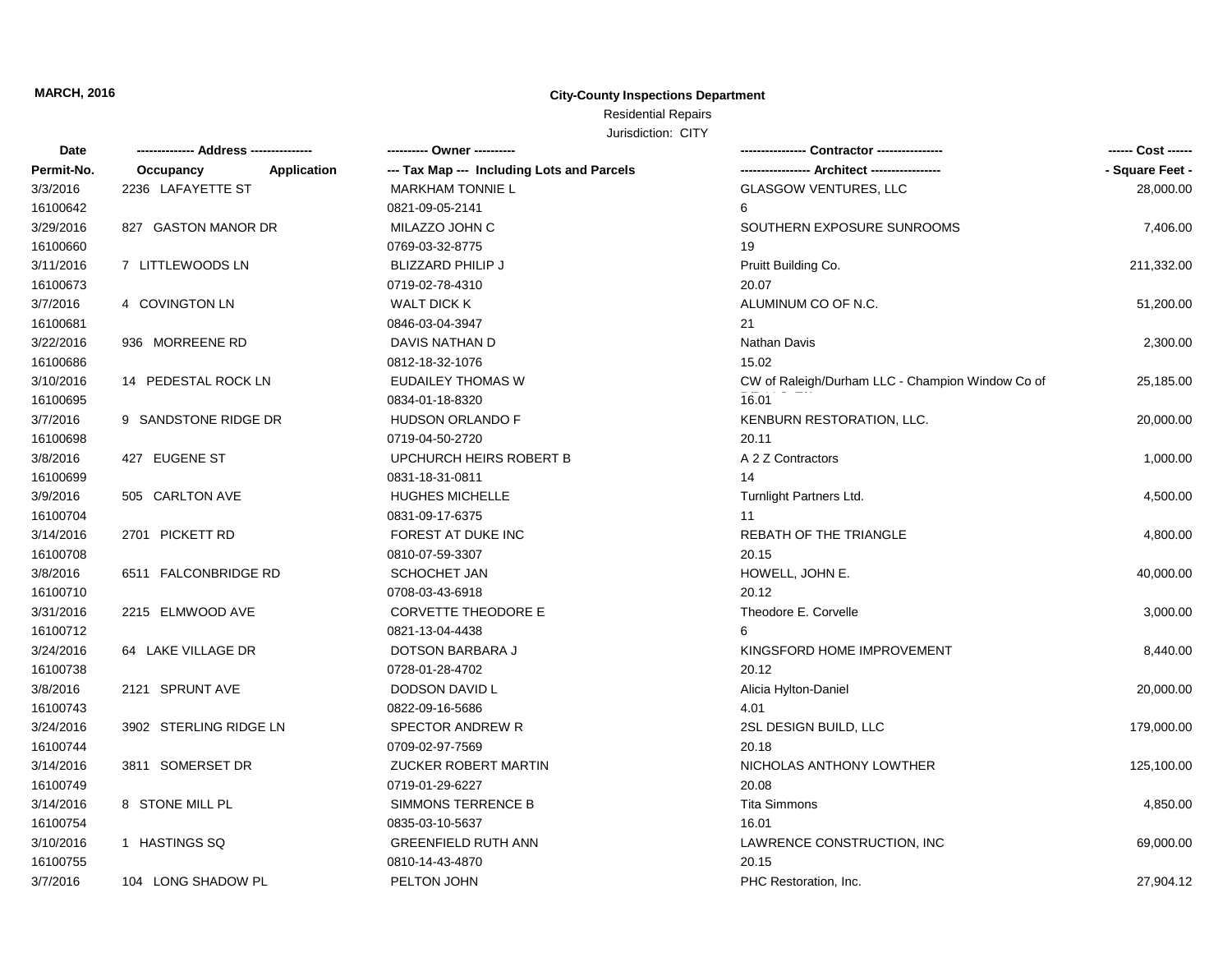| Date       |                          | ---------- Owner ----------                |                                                  | ------ Cost ------ |
|------------|--------------------------|--------------------------------------------|--------------------------------------------------|--------------------|
| Permit-No. | Occupancy<br>Application | --- Tax Map --- Including Lots and Parcels |                                                  | - Square Feet -    |
| 3/3/2016   | 2236 LAFAYETTE ST        | <b>MARKHAM TONNIE L</b>                    | <b>GLASGOW VENTURES, LLC</b>                     | 28,000.00          |
| 16100642   |                          | 0821-09-05-2141                            | 6                                                |                    |
| 3/29/2016  | 827 GASTON MANOR DR      | MILAZZO JOHN C                             | SOUTHERN EXPOSURE SUNROOMS                       | 7,406.00           |
| 16100660   |                          | 0769-03-32-8775                            | 19                                               |                    |
| 3/11/2016  | 7 LITTLEWOODS LN         | <b>BLIZZARD PHILIP J</b>                   | Pruitt Building Co.                              | 211,332.00         |
| 16100673   |                          | 0719-02-78-4310                            | 20.07                                            |                    |
| 3/7/2016   | 4 COVINGTON LN           | <b>WALT DICK K</b>                         | ALUMINUM CO OF N.C.                              | 51,200.00          |
| 16100681   |                          | 0846-03-04-3947                            | 21                                               |                    |
| 3/22/2016  | 936 MORREENE RD          | DAVIS NATHAN D                             | Nathan Davis                                     | 2,300.00           |
| 16100686   |                          | 0812-18-32-1076                            | 15.02                                            |                    |
| 3/10/2016  | 14 PEDESTAL ROCK LN      | <b>EUDAILEY THOMAS W</b>                   | CW of Raleigh/Durham LLC - Champion Window Co of | 25,185.00          |
| 16100695   |                          | 0834-01-18-8320                            | 16.01                                            |                    |
| 3/7/2016   | 9 SANDSTONE RIDGE DR     | <b>HUDSON ORLANDO F</b>                    | KENBURN RESTORATION, LLC.                        | 20,000.00          |
| 16100698   |                          | 0719-04-50-2720                            | 20.11                                            |                    |
| 3/8/2016   | 427 EUGENE ST            | UPCHURCH HEIRS ROBERT B                    | A 2 Z Contractors                                | 1,000.00           |
| 16100699   |                          | 0831-18-31-0811                            | 14                                               |                    |
| 3/9/2016   | 505 CARLTON AVE          | <b>HUGHES MICHELLE</b>                     | Turnlight Partners Ltd.                          | 4,500.00           |
| 16100704   |                          | 0831-09-17-6375                            | 11                                               |                    |
| 3/14/2016  | 2701 PICKETT RD          | FOREST AT DUKE INC                         | <b>REBATH OF THE TRIANGLE</b>                    | 4,800.00           |
| 16100708   |                          | 0810-07-59-3307                            | 20.15                                            |                    |
| 3/8/2016   | 6511 FALCONBRIDGE RD     | <b>SCHOCHET JAN</b>                        | HOWELL, JOHN E.                                  | 40,000.00          |
| 16100710   |                          | 0708-03-43-6918                            | 20.12                                            |                    |
| 3/31/2016  | 2215 ELMWOOD AVE         | CORVETTE THEODORE E                        | Theodore E. Corvelle                             | 3,000.00           |
| 16100712   |                          | 0821-13-04-4438                            |                                                  |                    |
| 3/24/2016  | 64 LAKE VILLAGE DR       | DOTSON BARBARA J                           | KINGSFORD HOME IMPROVEMENT                       | 8,440.00           |
| 16100738   |                          | 0728-01-28-4702                            | 20.12                                            |                    |
| 3/8/2016   | 2121 SPRUNT AVE          | DODSON DAVID L                             | Alicia Hylton-Daniel                             | 20,000.00          |
| 16100743   |                          | 0822-09-16-5686                            | 4.01                                             |                    |
| 3/24/2016  | 3902 STERLING RIDGE LN   | <b>SPECTOR ANDREW R</b>                    | 2SL DESIGN BUILD, LLC                            | 179,000.00         |
| 16100744   |                          | 0709-02-97-7569                            | 20.18                                            |                    |
| 3/14/2016  | 3811 SOMERSET DR         | ZUCKER ROBERT MARTIN                       | NICHOLAS ANTHONY LOWTHER                         | 125,100.00         |
| 16100749   |                          | 0719-01-29-6227                            | 20.08                                            |                    |
| 3/14/2016  | 8 STONE MILL PL          | SIMMONS TERRENCE B                         | <b>Tita Simmons</b>                              | 4,850.00           |
| 16100754   |                          | 0835-03-10-5637                            | 16.01                                            |                    |
| 3/10/2016  | 1 HASTINGS SQ            | <b>GREENFIELD RUTH ANN</b>                 | LAWRENCE CONSTRUCTION, INC                       | 69,000.00          |
| 16100755   |                          | 0810-14-43-4870                            | 20.15                                            |                    |
| 3/7/2016   | 104 LONG SHADOW PL       | PELTON JOHN                                | PHC Restoration, Inc.                            | 27,904.12          |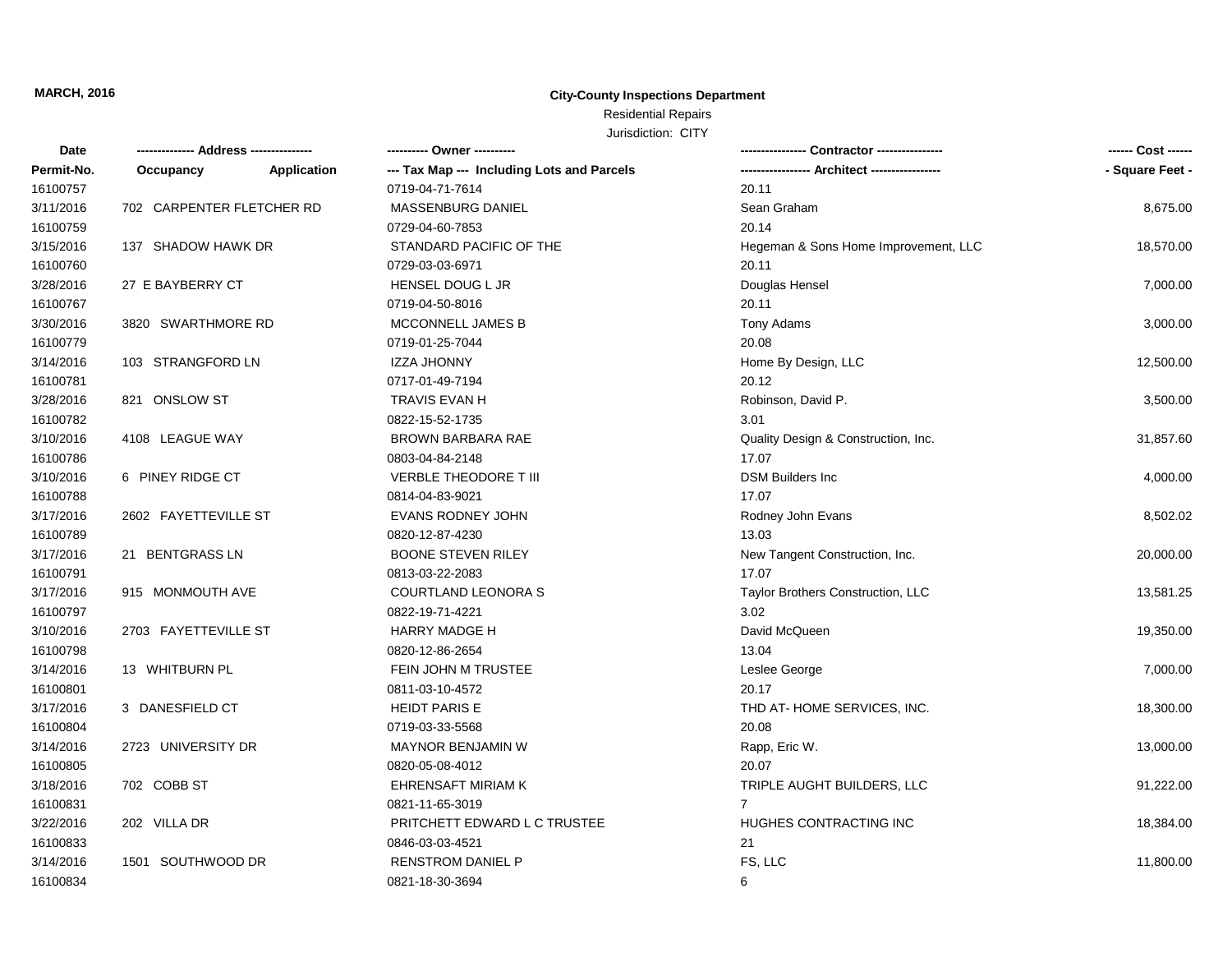| Date       |                           |             | ---------- Owner ----------                | Contractor ----------------                   | ------ Cost ------ |
|------------|---------------------------|-------------|--------------------------------------------|-----------------------------------------------|--------------------|
| Permit-No. | Occupancy                 | Application | --- Tax Map --- Including Lots and Parcels | ----------------- Architect ----------------- | - Square Feet -    |
| 16100757   |                           |             | 0719-04-71-7614                            | 20.11                                         |                    |
| 3/11/2016  | 702 CARPENTER FLETCHER RD |             | MASSENBURG DANIEL                          | Sean Graham                                   | 8,675.00           |
| 16100759   |                           |             | 0729-04-60-7853                            | 20.14                                         |                    |
| 3/15/2016  | 137 SHADOW HAWK DR        |             | STANDARD PACIFIC OF THE                    | Hegeman & Sons Home Improvement, LLC          | 18,570.00          |
| 16100760   |                           |             | 0729-03-03-6971                            | 20.11                                         |                    |
| 3/28/2016  | 27 E BAYBERRY CT          |             | HENSEL DOUG L JR                           | Douglas Hensel                                | 7,000.00           |
| 16100767   |                           |             | 0719-04-50-8016                            | 20.11                                         |                    |
| 3/30/2016  | 3820 SWARTHMORE RD        |             | MCCONNELL JAMES B                          | Tony Adams                                    | 3,000.00           |
| 16100779   |                           |             | 0719-01-25-7044                            | 20.08                                         |                    |
| 3/14/2016  | 103 STRANGFORD LN         |             | <b>IZZA JHONNY</b>                         | Home By Design, LLC                           | 12,500.00          |
| 16100781   |                           |             | 0717-01-49-7194                            | 20.12                                         |                    |
| 3/28/2016  | 821 ONSLOW ST             |             | TRAVIS EVAN H                              | Robinson, David P.                            | 3,500.00           |
| 16100782   |                           |             | 0822-15-52-1735                            | 3.01                                          |                    |
| 3/10/2016  | 4108 LEAGUE WAY           |             | BROWN BARBARA RAE                          | Quality Design & Construction, Inc.           | 31,857.60          |
| 16100786   |                           |             | 0803-04-84-2148                            | 17.07                                         |                    |
| 3/10/2016  | 6 PINEY RIDGE CT          |             | <b>VERBLE THEODORE T III</b>               | <b>DSM Builders Inc</b>                       | 4,000.00           |
| 16100788   |                           |             | 0814-04-83-9021                            | 17.07                                         |                    |
| 3/17/2016  | 2602 FAYETTEVILLE ST      |             | EVANS RODNEY JOHN                          | Rodney John Evans                             | 8,502.02           |
| 16100789   |                           |             | 0820-12-87-4230                            | 13.03                                         |                    |
| 3/17/2016  | 21 BENTGRASS LN           |             | <b>BOONE STEVEN RILEY</b>                  | New Tangent Construction, Inc.                | 20,000.00          |
| 16100791   |                           |             | 0813-03-22-2083                            | 17.07                                         |                    |
| 3/17/2016  | 915 MONMOUTH AVE          |             | <b>COURTLAND LEONORA S</b>                 | Taylor Brothers Construction, LLC             | 13,581.25          |
| 16100797   |                           |             | 0822-19-71-4221                            | 3.02                                          |                    |
| 3/10/2016  | 2703 FAYETTEVILLE ST      |             | <b>HARRY MADGE H</b>                       | David McQueen                                 | 19,350.00          |
| 16100798   |                           |             | 0820-12-86-2654                            | 13.04                                         |                    |
| 3/14/2016  | 13 WHITBURN PL            |             | FEIN JOHN M TRUSTEE                        | Leslee George                                 | 7,000.00           |
| 16100801   |                           |             | 0811-03-10-4572                            | 20.17                                         |                    |
| 3/17/2016  | 3 DANESFIELD CT           |             | <b>HEIDT PARIS E</b>                       | THD AT-HOME SERVICES, INC.                    | 18,300.00          |
| 16100804   |                           |             | 0719-03-33-5568                            | 20.08                                         |                    |
| 3/14/2016  | 2723 UNIVERSITY DR        |             | <b>MAYNOR BENJAMIN W</b>                   | Rapp, Eric W.                                 | 13,000.00          |
| 16100805   |                           |             | 0820-05-08-4012                            | 20.07                                         |                    |
| 3/18/2016  | 702 COBB ST               |             | EHRENSAFT MIRIAM K                         | TRIPLE AUGHT BUILDERS, LLC                    | 91,222.00          |
| 16100831   |                           |             | 0821-11-65-3019                            | $\overline{7}$                                |                    |
| 3/22/2016  | 202 VILLA DR              |             | PRITCHETT EDWARD L C TRUSTEE               | HUGHES CONTRACTING INC                        | 18,384.00          |
| 16100833   |                           |             | 0846-03-03-4521                            | 21                                            |                    |
| 3/14/2016  | 1501 SOUTHWOOD DR         |             | RENSTROM DANIEL P                          | FS, LLC                                       | 11,800.00          |
| 16100834   |                           |             | 0821-18-30-3694                            | 6                                             |                    |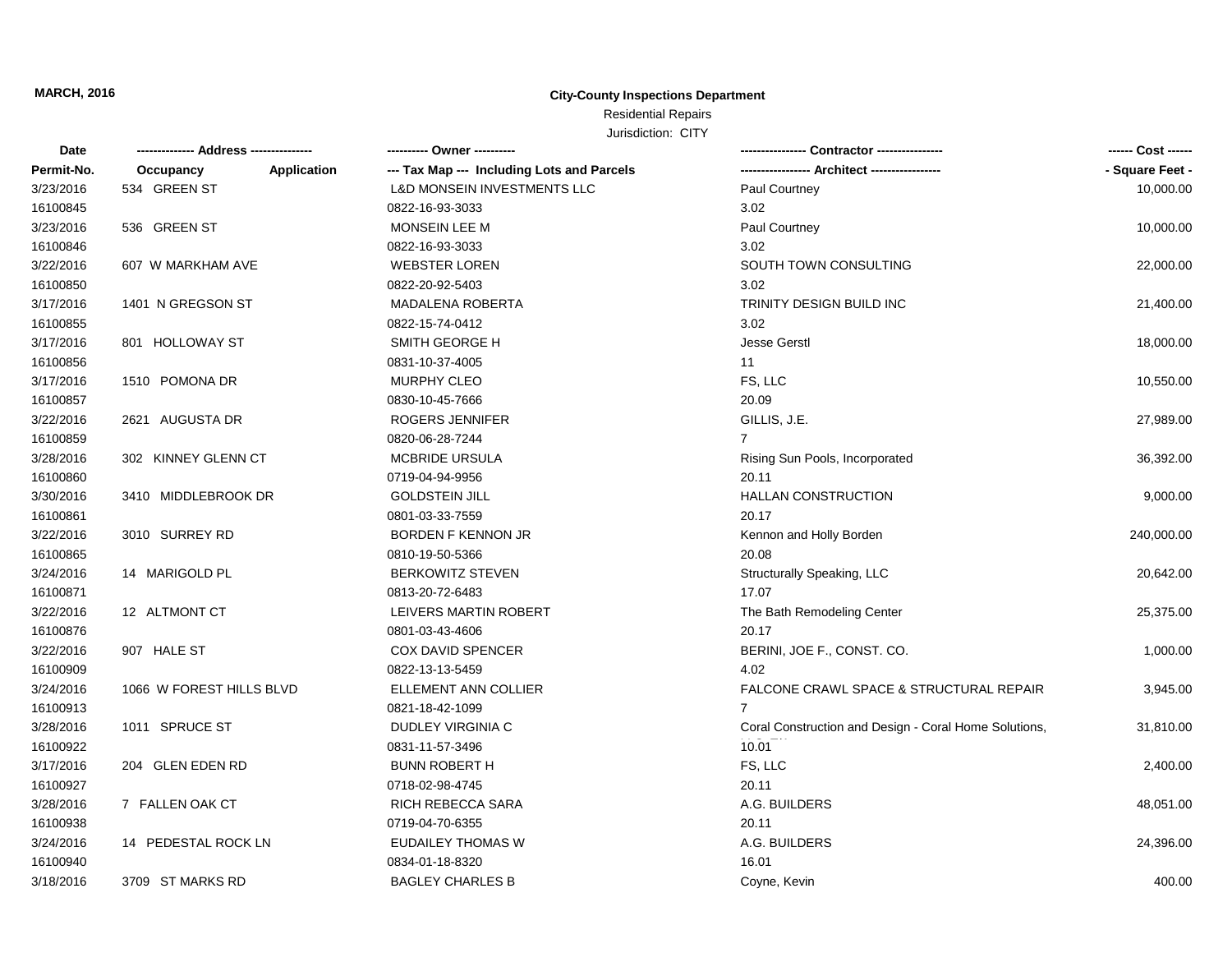# Residential Repairs

Jurisdiction: CITY

| Date       | ------------- Address --------------- | ---------- Owner ----------                |                                                       | ------ Cost ------ |
|------------|---------------------------------------|--------------------------------------------|-------------------------------------------------------|--------------------|
| Permit-No. | Occupancy<br>Application              | --- Tax Map --- Including Lots and Parcels |                                                       | - Square Feet -    |
| 3/23/2016  | 534 GREEN ST                          | <b>L&amp;D MONSEIN INVESTMENTS LLC</b>     | Paul Courtney                                         | 10,000.00          |
| 16100845   |                                       | 0822-16-93-3033                            | 3.02                                                  |                    |
| 3/23/2016  | 536 GREEN ST                          | MONSEIN LEE M                              | Paul Courtney                                         | 10,000.00          |
| 16100846   |                                       | 0822-16-93-3033                            | 3.02                                                  |                    |
| 3/22/2016  | 607 W MARKHAM AVE                     | <b>WEBSTER LOREN</b>                       | SOUTH TOWN CONSULTING                                 | 22,000.00          |
| 16100850   |                                       | 0822-20-92-5403                            | 3.02                                                  |                    |
| 3/17/2016  | 1401 N GREGSON ST                     | <b>MADALENA ROBERTA</b>                    | TRINITY DESIGN BUILD INC                              | 21,400.00          |
| 16100855   |                                       | 0822-15-74-0412                            | 3.02                                                  |                    |
| 3/17/2016  | 801 HOLLOWAY ST                       | SMITH GEORGE H                             | <b>Jesse Gerstl</b>                                   | 18,000.00          |
| 16100856   |                                       | 0831-10-37-4005                            | 11                                                    |                    |
| 3/17/2016  | 1510 POMONA DR                        | <b>MURPHY CLEO</b>                         | FS, LLC                                               | 10,550.00          |
| 16100857   |                                       | 0830-10-45-7666                            | 20.09                                                 |                    |
| 3/22/2016  | 2621 AUGUSTA DR                       | ROGERS JENNIFER                            | GILLIS, J.E.                                          | 27,989.00          |
| 16100859   |                                       | 0820-06-28-7244                            | $\overline{7}$                                        |                    |
| 3/28/2016  | 302 KINNEY GLENN CT                   | MCBRIDE URSULA                             | Rising Sun Pools, Incorporated                        | 36,392.00          |
| 16100860   |                                       | 0719-04-94-9956                            | 20.11                                                 |                    |
| 3/30/2016  | 3410 MIDDLEBROOK DR                   | <b>GOLDSTEIN JILL</b>                      | <b>HALLAN CONSTRUCTION</b>                            | 9,000.00           |
| 16100861   |                                       | 0801-03-33-7559                            | 20.17                                                 |                    |
| 3/22/2016  | 3010 SURREY RD                        | <b>BORDEN F KENNON JR</b>                  | Kennon and Holly Borden                               | 240,000.00         |
| 16100865   |                                       | 0810-19-50-5366                            | 20.08                                                 |                    |
| 3/24/2016  | 14 MARIGOLD PL                        | <b>BERKOWITZ STEVEN</b>                    | Structurally Speaking, LLC                            | 20,642.00          |
| 16100871   |                                       | 0813-20-72-6483                            | 17.07                                                 |                    |
| 3/22/2016  | 12 ALTMONT CT                         | LEIVERS MARTIN ROBERT                      | The Bath Remodeling Center                            | 25,375.00          |
| 16100876   |                                       | 0801-03-43-4606                            | 20.17                                                 |                    |
| 3/22/2016  | 907 HALE ST                           | <b>COX DAVID SPENCER</b>                   | BERINI, JOE F., CONST. CO.                            | 1,000.00           |
| 16100909   |                                       | 0822-13-13-5459                            | 4.02                                                  |                    |
| 3/24/2016  | 1066 W FOREST HILLS BLVD              | ELLEMENT ANN COLLIER                       | <b>FALCONE CRAWL SPACE &amp; STRUCTURAL REPAIR</b>    | 3,945.00           |
| 16100913   |                                       | 0821-18-42-1099                            | $\overline{7}$                                        |                    |
| 3/28/2016  | 1011 SPRUCE ST                        | DUDLEY VIRGINIA C                          | Coral Construction and Design - Coral Home Solutions, | 31,810.00          |
| 16100922   |                                       | 0831-11-57-3496                            | 10.01                                                 |                    |
| 3/17/2016  | 204 GLEN EDEN RD                      | <b>BUNN ROBERT H</b>                       | FS, LLC                                               | 2,400.00           |
| 16100927   |                                       | 0718-02-98-4745                            | 20.11                                                 |                    |
| 3/28/2016  | 7 FALLEN OAK CT                       | RICH REBECCA SARA                          | A.G. BUILDERS                                         | 48,051.00          |
| 16100938   |                                       | 0719-04-70-6355                            | 20.11                                                 |                    |
| 3/24/2016  | 14 PEDESTAL ROCK LN                   | <b>EUDAILEY THOMAS W</b>                   | A.G. BUILDERS                                         | 24,396.00          |
| 16100940   |                                       | 0834-01-18-8320                            | 16.01                                                 |                    |
| 3/18/2016  |                                       |                                            |                                                       |                    |